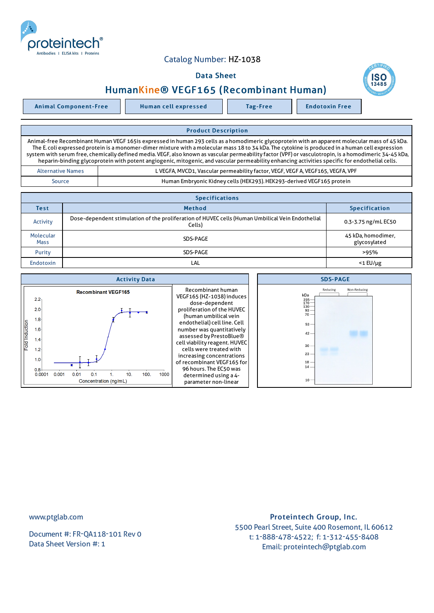

## Catalog Number: HZ-1038

## Data Sheet



Animal Component-Free Human cell expressed Tag-Free Tag Endotoxin Free

## Product Description Animal-free Recombinant Human VEGF 165is expressed in human 293 cells as a homodimeric glycoprotein with an apparent molecular mass of 45 kDa. The E. coli expressed protein is a monomer-dimer mixture with a molecular mass 18 to 34 kDa. The cytokine is produced in a human cell expression system with serum free, chemically defined media.VEGF, also known as vascular permeability factor (VPF) or vasculotropin, is a homodimeric 34-45 kDa, heparin-binding glycoprotein with potent angiogenic, mitogenic, and vascular permeability enhancing activities specific for endothelial cells. Alternative Names | Cameration Control Control Control Control Control Control Control Control Control Control C

Source Human Embryonic Kidney cells (HEK293).HEK293-derived VEGF165 protein

| <b>Specifications</b>    |                                                                                                            |                                    |  |  |
|--------------------------|------------------------------------------------------------------------------------------------------------|------------------------------------|--|--|
| <b>Test</b>              | <b>Method</b>                                                                                              | <b>Specification</b>               |  |  |
| Activity                 | Dose-dependent stimulation of the proliferation of HUVEC cells (Human Umbilical Vein Endothelial<br>Cells) | 0.3-3.75 ng/mL EC50                |  |  |
| Molecular<br><b>Mass</b> | SDS-PAGE                                                                                                   | 45 kDa, homodimer,<br>glycosylated |  |  |
| Purity                   | SDS-PAGE                                                                                                   | >95%                               |  |  |
| <b>Endotoxin</b>         | LAL                                                                                                        | $<$ 1 $E$ U/µg                     |  |  |



www.ptglab.com

Document #: FR-QA118-101 Rev 0 Data Sheet Version #: 1

## Proteintech Group, Inc. 5500 Pearl Street, Suite 400 Rosemont, IL 60612 t: 1-888-478-4522; f: 1-312-455-8408 Email: proteintech@ptglab.com